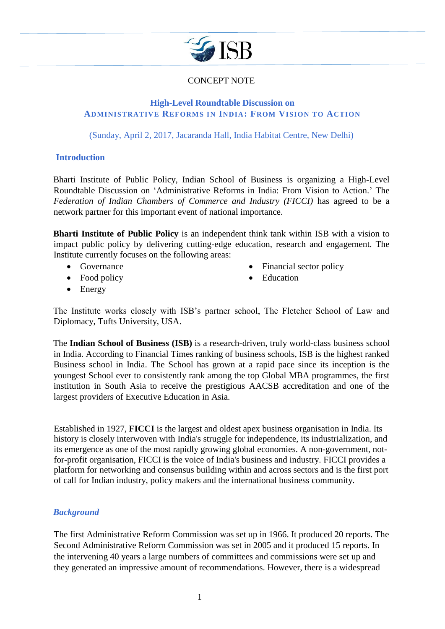

# CONCEPT NOTE

## **High-Level Roundtable Discussion on ADMINISTRATIVE REFORMS IN INDIA: FROM VISION TO ACTION**

(Sunday, April 2, 2017, Jacaranda Hall, India Habitat Centre, New Delhi)

#### **Introduction**

Bharti Institute of Public Policy, Indian School of Business is organizing a High-Level Roundtable Discussion on 'Administrative Reforms in India: From Vision to Action.' The *Federation of Indian Chambers of Commerce and Industry (FICCI)* has agreed to be a network partner for this important event of national importance.

**Bharti Institute of Public Policy** is an independent think tank within ISB with a vision to impact public policy by delivering cutting-edge education, research and engagement. The Institute currently focuses on the following areas:

- Governance
- Food policy
- Financial sector policy
- Education

• Energy

The Institute works closely with ISB's partner school, The Fletcher School of Law and Diplomacy, Tufts University, USA.

The **Indian School of Business (ISB)** is a research-driven, truly world-class business school in India. According to Financial Times ranking of business schools, ISB is the highest ranked Business school in India. The School has grown at a rapid pace since its inception is the youngest School ever to consistently rank among the top Global MBA programmes, the first institution in South Asia to receive the prestigious AACSB accreditation and one of the largest providers of Executive Education in Asia.

Established in 1927, **FICCI** is the largest and oldest apex business organisation in India. Its history is closely interwoven with India's struggle for independence, its industrialization, and its emergence as one of the most rapidly growing global economies. A non-government, notfor-profit organisation, FICCI is the voice of India's business and industry. FICCI provides a platform for networking and consensus building within and across sectors and is the first port of call for Indian industry, policy makers and the international business community.

## *Background*

The first Administrative Reform Commission was set up in 1966. It produced 20 reports. The Second Administrative Reform Commission was set in 2005 and it produced 15 reports. In the intervening 40 years a large numbers of committees and commissions were set up and they generated an impressive amount of recommendations. However, there is a widespread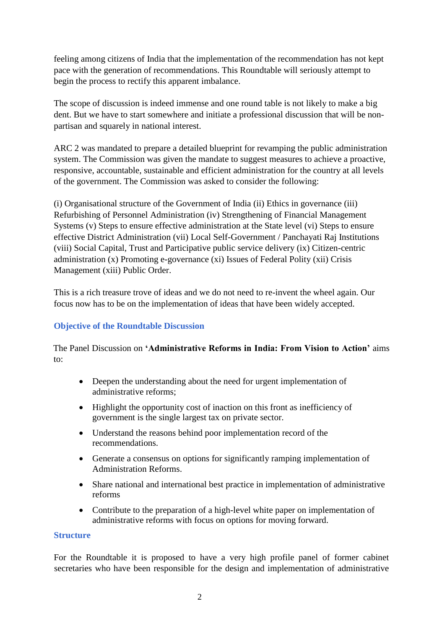feeling among citizens of India that the implementation of the recommendation has not kept pace with the generation of recommendations. This Roundtable will seriously attempt to begin the process to rectify this apparent imbalance.

The scope of discussion is indeed immense and one round table is not likely to make a big dent. But we have to start somewhere and initiate a professional discussion that will be nonpartisan and squarely in national interest.

ARC 2 was mandated to prepare a detailed blueprint for revamping the public administration system. The Commission was given the mandate to suggest measures to achieve a proactive, responsive, accountable, sustainable and efficient administration for the country at all levels of the government. The Commission was asked to consider the following:

(i) [Organisational structure](https://en.wikipedia.org/wiki/Organizational_structure) of the Government of India (ii) [Ethics](https://en.wikipedia.org/wiki/Ethics) in [governance](https://en.wikipedia.org/wiki/Governance) (iii) Refurbishing of Personnel Administration (iv) Strengthening of Financial Management Systems (v) Steps to ensure effective administration at the State level (vi) Steps to ensure effective District Administration (vii) Local Self-Government / [Panchayati Raj](https://en.wikipedia.org/wiki/Panchayati_Raj) Institutions (viii) Social Capital, Trust and Participative public service delivery (ix) Citizen-centric administration (x) Promoting [e-governance](https://en.wikipedia.org/wiki/E-governance) (xi) Issues of Federal Polity (xii) [Crisis](https://en.wikipedia.org/wiki/Crisis_management)  [Management](https://en.wikipedia.org/wiki/Crisis_management) (xiii) Public Order.

This is a rich treasure trove of ideas and we do not need to re-invent the wheel again. Our focus now has to be on the implementation of ideas that have been widely accepted.

## **Objective of the Roundtable Discussion**

The Panel Discussion on **'Administrative Reforms in India: From Vision to Action'** aims to:

- Deepen the understanding about the need for urgent implementation of administrative reforms;
- Highlight the opportunity cost of inaction on this front as inefficiency of government is the single largest tax on private sector.
- Understand the reasons behind poor implementation record of the recommendations.
- Generate a consensus on options for significantly ramping implementation of Administration Reforms.
- Share national and international best practice in implementation of administrative reforms
- Contribute to the preparation of a high-level white paper on implementation of administrative reforms with focus on options for moving forward.

## **Structure**

For the Roundtable it is proposed to have a very high profile panel of former cabinet secretaries who have been responsible for the design and implementation of administrative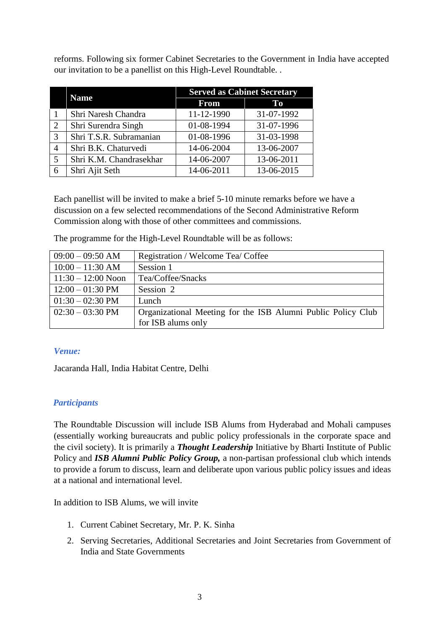reforms. Following six former Cabinet Secretaries to the Government in India have accepted our invitation to be a panellist on this High-Level Roundtable. .

|               | <b>Name</b>             | <b>Served as Cabinet Secretary</b> |            |
|---------------|-------------------------|------------------------------------|------------|
|               |                         | <b>From</b>                        | $\bf{To}$  |
|               | Shri Naresh Chandra     | 11-12-1990                         | 31-07-1992 |
| 2             | Shri Surendra Singh     | 01-08-1994                         | 31-07-1996 |
| $\mathcal{R}$ | Shri T.S.R. Subramanian | 01-08-1996                         | 31-03-1998 |
|               | Shri B.K. Chaturvedi    | 14-06-2004                         | 13-06-2007 |
| 5             | Shri K.M. Chandrasekhar | 14-06-2007                         | 13-06-2011 |
|               | Shri Ajit Seth          | 14-06-2011                         | 13-06-2015 |

Each panellist will be invited to make a brief 5-10 minute remarks before we have a discussion on a few selected recommendations of the Second Administrative Reform Commission along with those of other committees and commissions.

The programme for the High-Level Roundtable will be as follows:

| $09:00 - 09:50$ AM         | Registration / Welcome Tea/ Coffee                           |
|----------------------------|--------------------------------------------------------------|
| $10:00 - 11:30$ AM         | Session 1                                                    |
| $11:30 - 12:00$ Noon       | Tea/Coffee/Snacks                                            |
| $12:00 - 01:30 \text{ PM}$ | Session 2                                                    |
| $01:30 - 02:30 \text{ PM}$ | Lunch                                                        |
| $02:30 - 03:30 \text{ PM}$ | Organizational Meeting for the ISB Alumni Public Policy Club |
|                            | for ISB alums only                                           |

## *Venue:*

Jacaranda Hall, India Habitat Centre, Delhi

## *Participants*

The Roundtable Discussion will include ISB Alums from Hyderabad and Mohali campuses (essentially working bureaucrats and public policy professionals in the corporate space and the civil society). It is primarily a *Thought Leadership* Initiative by Bharti Institute of Public Policy and *ISB Alumni Public Policy Group,* a non-partisan professional club which intends to provide a forum to discuss, learn and deliberate upon various public policy issues and ideas at a national and international level.

In addition to ISB Alums, we will invite

- 1. Current Cabinet Secretary, Mr. P. K. Sinha
- 2. Serving Secretaries, Additional Secretaries and Joint Secretaries from Government of India and State Governments